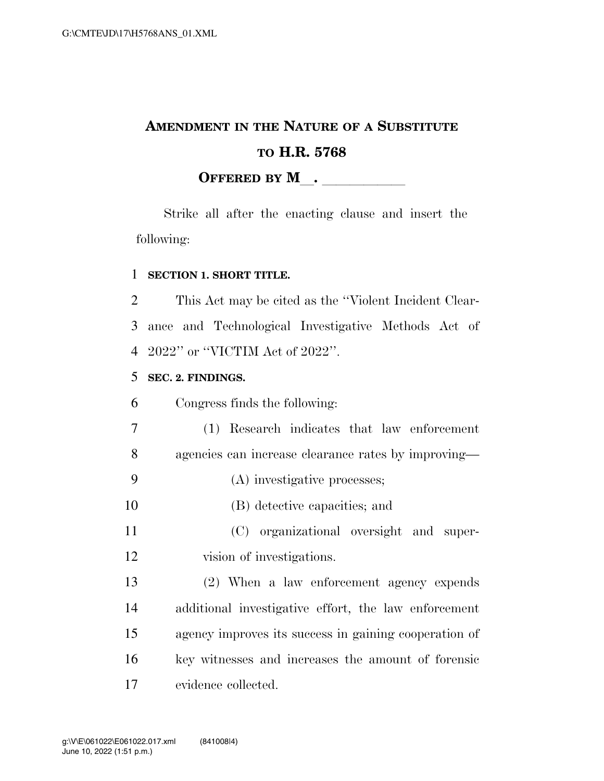## **AMENDMENT IN THE NATURE OF A SUBSTITUTE TO H.R. 5768 OFFERED BY M**.

Strike all after the enacting clause and insert the following:

## **SECTION 1. SHORT TITLE.**

 This Act may be cited as the ''Violent Incident Clear- ance and Technological Investigative Methods Act of 2022'' or ''VICTIM Act of 2022''.

## **SEC. 2. FINDINGS.**

Congress finds the following:

(1) Research indicates that law enforcement

agencies can increase clearance rates by improving—

- (A) investigative processes;
- (B) detective capacities; and
- (C) organizational oversight and super-vision of investigations.

 (2) When a law enforcement agency expends additional investigative effort, the law enforcement agency improves its success in gaining cooperation of key witnesses and increases the amount of forensic evidence collected.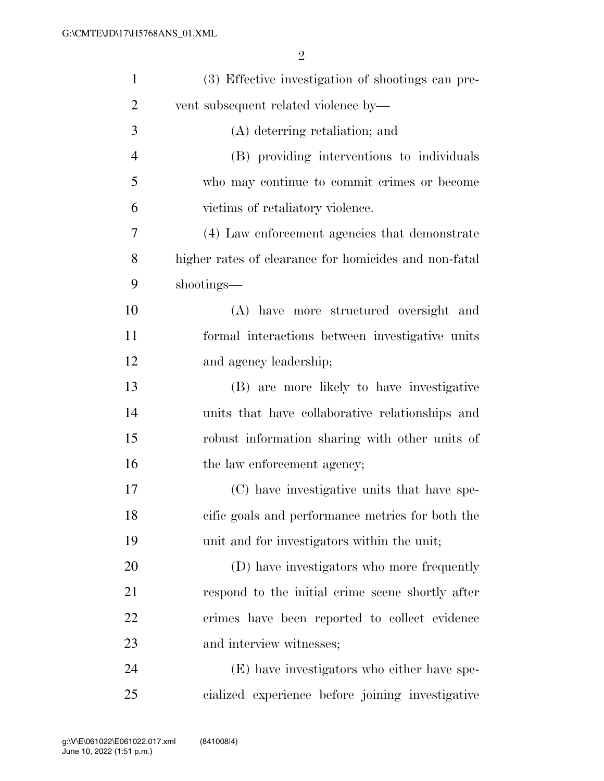| $\mathbf{1}$   | (3) Effective investigation of shootings can pre-     |
|----------------|-------------------------------------------------------|
| $\overline{2}$ | vent subsequent related violence by-                  |
| 3              | (A) deterring retaliation; and                        |
| $\overline{4}$ | (B) providing interventions to individuals            |
| 5              | who may continue to commit crimes or become           |
| 6              | victims of retaliatory violence.                      |
| 7              | (4) Law enforcement agencies that demonstrate         |
| 8              | higher rates of clearance for homicides and non-fatal |
| 9              | shootings—                                            |
| 10             | (A) have more structured oversight and                |
| 11             | formal interactions between investigative units       |
| 12             | and agency leadership;                                |
| 13             | (B) are more likely to have investigative             |
| 14             | units that have collaborative relationships and       |
| 15             | robust information sharing with other units of        |
| 16             | the law enforcement agency;                           |
| 17             | (C) have investigative units that have spe-           |
| 18             | cific goals and performance metrics for both the      |
| 19             | unit and for investigators within the unit;           |
| 20             | (D) have investigators who more frequently            |
| 21             | respond to the initial crime scene shortly after      |
| 22             | crimes have been reported to collect evidence         |
| 23             | and interview witnesses;                              |
| 24             | (E) have investigators who either have spe-           |
| 25             | cialized experience before joining investigative      |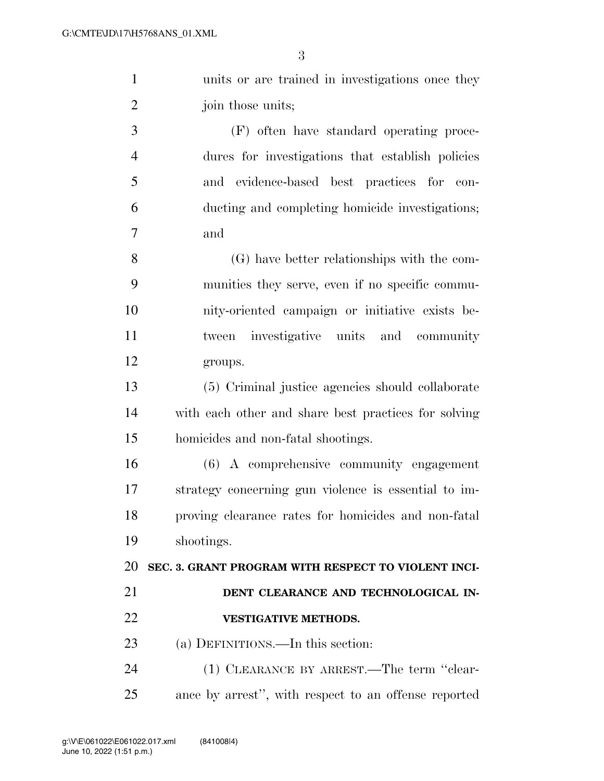| $\mathbf{1}$   | units or are trained in investigations once they     |
|----------------|------------------------------------------------------|
| $\overline{2}$ | join those units;                                    |
| 3              | (F) often have standard operating proce-             |
| $\overline{4}$ | dures for investigations that establish policies     |
| 5              | and evidence-based best practices for con-           |
| 6              | ducting and completing homicide investigations;      |
| $\tau$         | and                                                  |
| 8              | (G) have better relationships with the com-          |
| 9              | munities they serve, even if no specific commu-      |
| 10             | nity-oriented campaign or initiative exists be-      |
| 11             | tween investigative units and community              |
| 12             | groups.                                              |
| 13             | (5) Criminal justice agencies should collaborate     |
| 14             | with each other and share best practices for solving |
| 15             | homicides and non-fatal shootings.                   |
| 16             | (6) A comprehensive community engagement             |
| 17             | strategy concerning gun violence is essential to im- |
| 18             | proving clearance rates for homicides and non-fatal  |
| 19             | shootings.                                           |
| 20             | SEC. 3. GRANT PROGRAM WITH RESPECT TO VIOLENT INCI-  |
| 21             | DENT CLEARANCE AND TECHNOLOGICAL IN-                 |
| 22             | <b>VESTIGATIVE METHODS.</b>                          |

(a) DEFINITIONS.—In this section:

 (1) CLEARANCE BY ARREST.—The term ''clear-ance by arrest'', with respect to an offense reported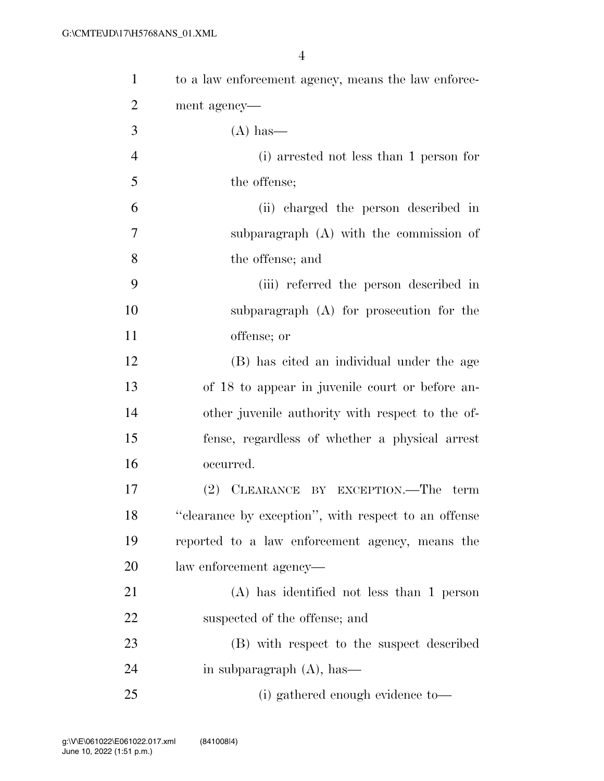| $\mathbf{1}$   | to a law enforcement agency, means the law enforce-  |
|----------------|------------------------------------------------------|
| $\overline{2}$ | ment agency—                                         |
| 3              | $(A)$ has—                                           |
| $\overline{4}$ | (i) arrested not less than 1 person for              |
| 5              | the offense;                                         |
| 6              | (ii) charged the person described in                 |
| 7              | subparagraph (A) with the commission of              |
| 8              | the offense; and                                     |
| 9              | (iii) referred the person described in               |
| 10             | subparagraph (A) for prosecution for the             |
| 11             | offense; or                                          |
| 12             | (B) has cited an individual under the age            |
| 13             | of 18 to appear in juvenile court or before an-      |
| 14             | other juvenile authority with respect to the of-     |
| 15             | fense, regardless of whether a physical arrest       |
| 16             | occurred.                                            |
| 17             | (2) CLEARANCE BY EXCEPTION.—The term                 |
| 18             | "clearance by exception", with respect to an offense |
| 19             | reported to a law enforcement agency, means the      |
| 20             | law enforcement agency—                              |
| 21             | $(A)$ has identified not less than 1 person          |
| 22             | suspected of the offense; and                        |
| 23             | (B) with respect to the suspect described            |
| 24             | in subparagraph $(A)$ , has—                         |
| 25             | (i) gathered enough evidence to—                     |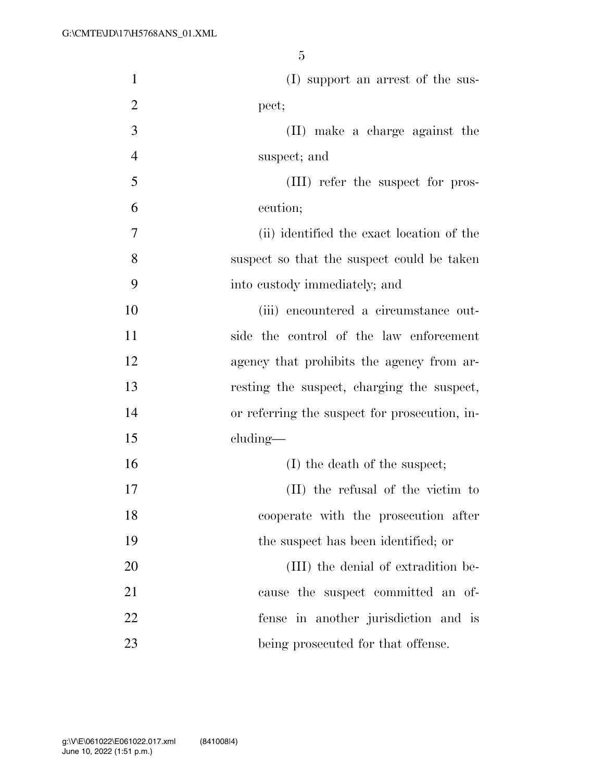| $\mathbf{1}$   | (I) support an arrest of the sus-             |
|----------------|-----------------------------------------------|
| $\overline{2}$ | pect;                                         |
| 3              | (II) make a charge against the                |
| $\overline{4}$ | suspect; and                                  |
| 5              | (III) refer the suspect for pros-             |
| 6              | ecution;                                      |
| 7              | (ii) identified the exact location of the     |
| 8              | suspect so that the suspect could be taken    |
| 9              | into custody immediately; and                 |
| 10             | (iii) encountered a circumstance out-         |
| 11             | side the control of the law enforcement       |
| 12             | agency that prohibits the agency from ar-     |
| 13             | resting the suspect, charging the suspect,    |
| 14             | or referring the suspect for prosecution, in- |
| 15             | $cluding$ —                                   |
| 16             | (I) the death of the suspect;                 |
| 17             | (II) the refusal of the victim to             |
| 18             | cooperate with the prosecution after          |
| 19             | the suspect has been identified; or           |
| 20             | (III) the denial of extradition be-           |
| 21             | cause the suspect committed an of-            |
| 22             | fense in another jurisdiction and is          |
| 23             | being prosecuted for that offense.            |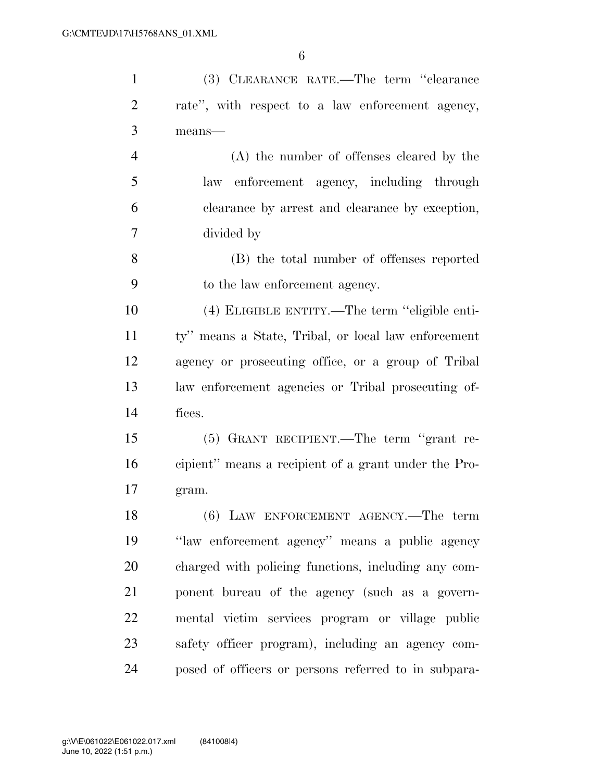| $\mathbf{1}$   | (3) CLEARANCE RATE.—The term "clearance              |
|----------------|------------------------------------------------------|
| $\overline{2}$ | rate", with respect to a law enforcement agency,     |
| 3              | $means$ —                                            |
| $\overline{4}$ | (A) the number of offenses cleared by the            |
| 5              | enforcement agency, including through<br>law         |
| 6              | clearance by arrest and clearance by exception,      |
| 7              | divided by                                           |
| 8              | (B) the total number of offenses reported            |
| 9              | to the law enforcement agency.                       |
| 10             | (4) ELIGIBLE ENTITY.—The term "eligible enti-        |
| 11             | ty" means a State, Tribal, or local law enforcement  |
| 12             | agency or prosecuting office, or a group of Tribal   |
| 13             | law enforcement agencies or Tribal prosecuting of-   |
| 14             | fices.                                               |
| 15             | (5) GRANT RECIPIENT.—The term "grant re-             |
| 16             | cipient" means a recipient of a grant under the Pro- |
| 17             | gram.                                                |
| 18             | (6) LAW ENFORCEMENT AGENCY.—The term                 |
| 19             | "law enforcement agency" means a public agency       |
| 20             | charged with policing functions, including any com-  |
| 21             | ponent bureau of the agency (such as a govern-       |
| 22             | mental victim services program or village public     |
| 23             | safety officer program), including an agency com-    |
| 24             | posed of officers or persons referred to in subpara- |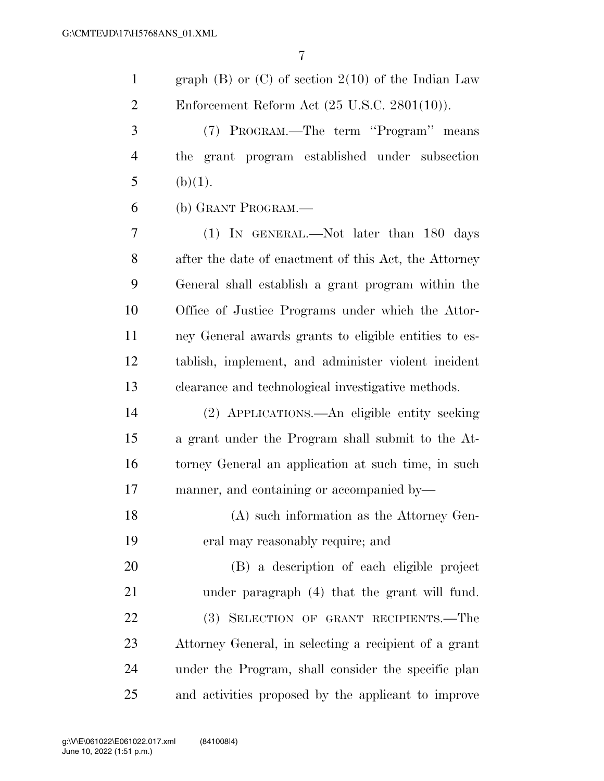graph (B) or (C) of section 2(10) of the Indian Law Enforcement Reform Act (25 U.S.C. 2801(10)).

 (7) PROGRAM.—The term ''Program'' means the grant program established under subsection 5 (b)(1).

(b) GRANT PROGRAM.—

 (1) IN GENERAL.—Not later than 180 days after the date of enactment of this Act, the Attorney General shall establish a grant program within the Office of Justice Programs under which the Attor- ney General awards grants to eligible entities to es- tablish, implement, and administer violent incident clearance and technological investigative methods.

 (2) APPLICATIONS.—An eligible entity seeking a grant under the Program shall submit to the At- torney General an application at such time, in such manner, and containing or accompanied by—

 (A) such information as the Attorney Gen-eral may reasonably require; and

 (B) a description of each eligible project under paragraph (4) that the grant will fund. (3) SELECTION OF GRANT RECIPIENTS.—The Attorney General, in selecting a recipient of a grant under the Program, shall consider the specific plan and activities proposed by the applicant to improve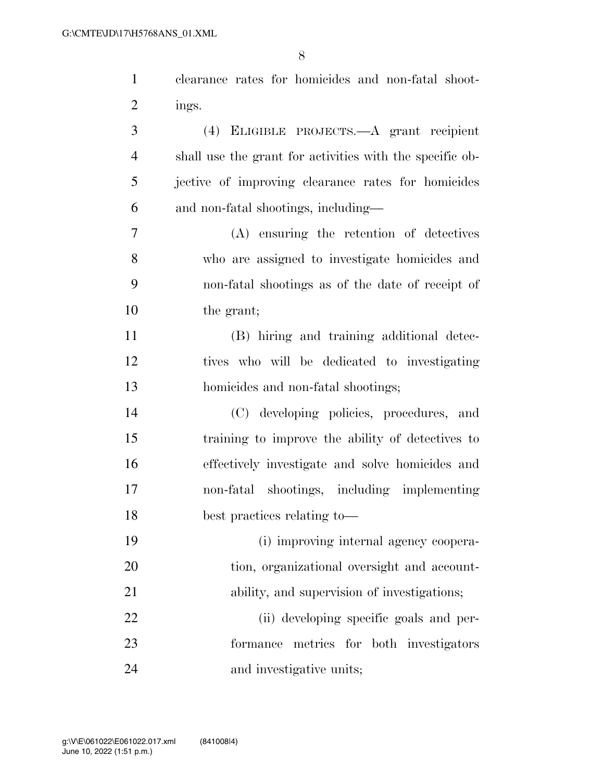| $\mathbf{1}$   | clearance rates for homicides and non-fatal shoot-       |
|----------------|----------------------------------------------------------|
| $\overline{2}$ | ings.                                                    |
| 3              | (4) ELIGIBLE PROJECTS.—A grant recipient                 |
| 4              | shall use the grant for activities with the specific ob- |
| 5              | jective of improving clearance rates for homicides       |
| 6              | and non-fatal shootings, including—                      |
| 7              | (A) ensuring the retention of detectives                 |
| 8              | who are assigned to investigate homicides and            |
| 9              | non-fatal shootings as of the date of receipt of         |
| 10             | the grant;                                               |
| 11             | (B) hiring and training additional detec-                |
| 12             | tives who will be dedicated to investigating             |
| 13             | homicides and non-fatal shootings;                       |
| 14             | (C) developing policies, procedures, and                 |
| 15             | training to improve the ability of detectives to         |
| 16             | effectively investigate and solve homicides and          |
| 17             | non-fatal shootings, including implementing              |
| 18             | best practices relating to-                              |
| 19             | (i) improving internal agency coopera-                   |
| 20             | tion, organizational oversight and account-              |
| 21             | ability, and supervision of investigations;              |
| 22             | (ii) developing specific goals and per-                  |
| 23             | formance metrics for both investigators                  |
| 24             | and investigative units;                                 |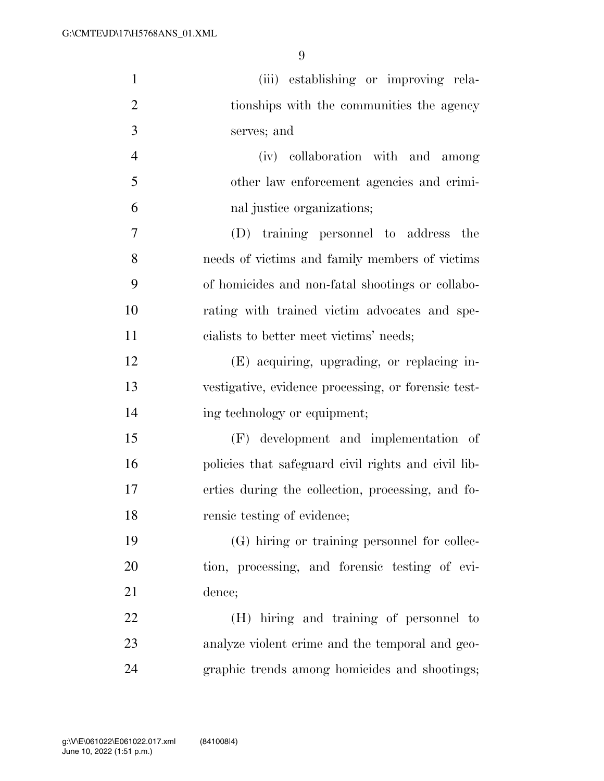| $\mathbf{1}$   | (iii) establishing or improving rela-               |
|----------------|-----------------------------------------------------|
| $\overline{2}$ | tionships with the communities the agency           |
| 3              | serves; and                                         |
| $\overline{4}$ | (iv) collaboration with and among                   |
| 5              | other law enforcement agencies and crimi-           |
| 6              | nal justice organizations;                          |
| 7              | (D) training personnel to address the               |
| 8              | needs of victims and family members of victims      |
| 9              | of homicides and non-fatal shootings or collabo-    |
| 10             | rating with trained victim advocates and spe-       |
| 11             | cialists to better meet victims' needs;             |
| 12             | (E) acquiring, upgrading, or replacing in-          |
| 13             | vestigative, evidence processing, or forensic test- |
| 14             | ing technology or equipment;                        |
| 15             | (F) development and implementation of               |
| 16             | policies that safeguard civil rights and civil lib- |
| 17             | erties during the collection, processing, and fo-   |
| 18             | rensic testing of evidence;                         |
| 19             | (G) hiring or training personnel for collec-        |
| 20             | tion, processing, and forensic testing of evi-      |
| 21             | dence;                                              |
| 22             | (H) hiring and training of personnel to             |
| 23             | analyze violent crime and the temporal and geo-     |
| 24             | graphic trends among homicides and shootings;       |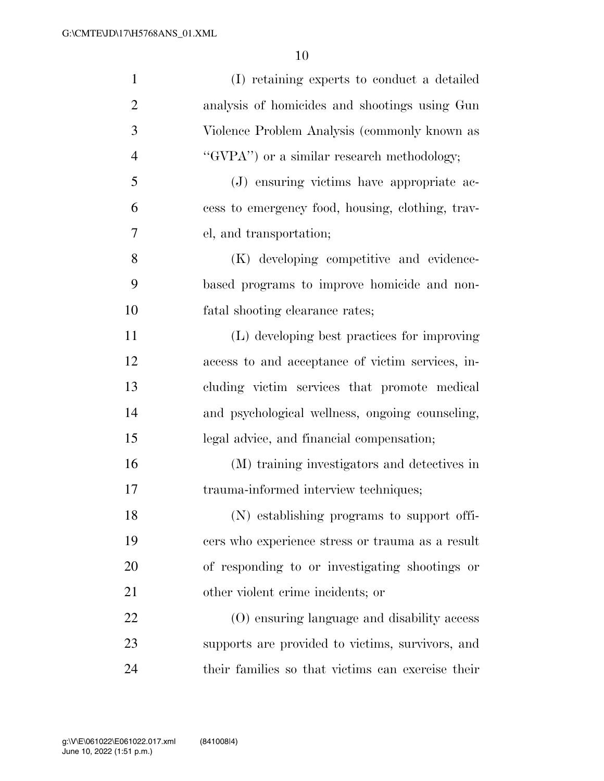| $\mathbf{1}$   | (I) retaining experts to conduct a detailed       |
|----------------|---------------------------------------------------|
| $\overline{2}$ | analysis of homicides and shootings using Gun     |
| 3              | Violence Problem Analysis (commonly known as      |
| $\overline{4}$ | "GVPA") or a similar research methodology;        |
| 5              | (J) ensuring victims have appropriate ac-         |
| 6              | cess to emergency food, housing, clothing, trav-  |
| 7              | el, and transportation;                           |
| 8              | (K) developing competitive and evidence-          |
| 9              | based programs to improve homicide and non-       |
| 10             | fatal shooting clearance rates;                   |
| 11             | (L) developing best practices for improving       |
| 12             | access to and acceptance of victim services, in-  |
| 13             | cluding victim services that promote medical      |
| 14             | and psychological wellness, ongoing counseling,   |
| 15             | legal advice, and financial compensation;         |
| 16             | (M) training investigators and detectives in      |
| 17             | trauma-informed interview techniques;             |
| 18             | (N) establishing programs to support offi-        |
| 19             | cers who experience stress or trauma as a result  |
| 20             | of responding to or investigating shootings or    |
| 21             | other violent crime incidents; or                 |
| 22             | (O) ensuring language and disability access       |
| 23             | supports are provided to victims, survivors, and  |
| 24             | their families so that victims can exercise their |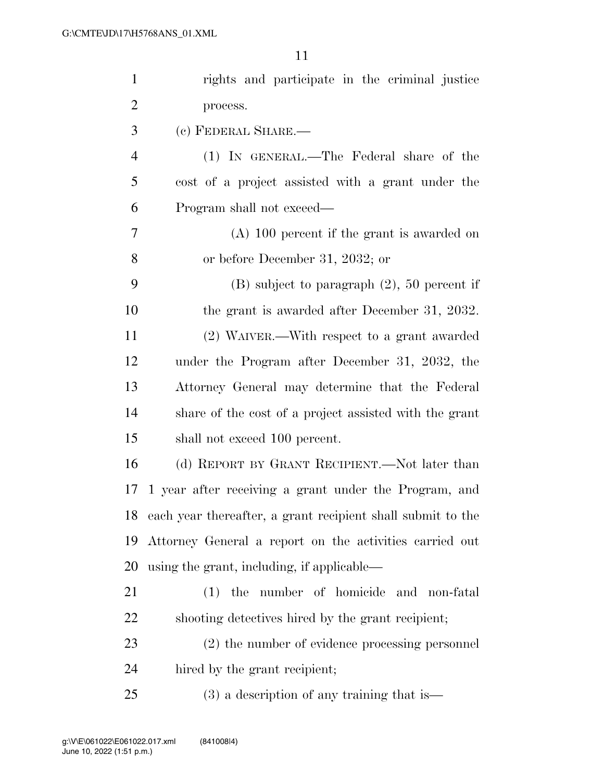| $\mathbf{1}$   | rights and participate in the criminal justice              |
|----------------|-------------------------------------------------------------|
| $\overline{2}$ | process.                                                    |
| 3              | (c) FEDERAL SHARE.-                                         |
| $\overline{4}$ | (1) IN GENERAL.—The Federal share of the                    |
| 5              | cost of a project assisted with a grant under the           |
| 6              | Program shall not exceed—                                   |
| $\overline{7}$ | $(A)$ 100 percent if the grant is awarded on                |
| 8              | or before December 31, 2032; or                             |
| 9              | $(B)$ subject to paragraph $(2)$ , 50 percent if            |
| 10             | the grant is awarded after December 31, 2032.               |
| 11             | (2) WAIVER.—With respect to a grant awarded                 |
| 12             | under the Program after December 31, 2032, the              |
| 13             | Attorney General may determine that the Federal             |
| 14             | share of the cost of a project assisted with the grant      |
| 15             | shall not exceed 100 percent.                               |
| 16             | (d) REPORT BY GRANT RECIPIENT.—Not later than               |
| 17             | 1 year after receiving a grant under the Program, and       |
| 18             | each year thereafter, a grant recipient shall submit to the |
| 19             | Attorney General a report on the activities carried out     |
| 20             | using the grant, including, if applicable—                  |
| 21             | (1) the number of homicide and non-fatal                    |
| 22             | shooting detectives hired by the grant recipient;           |
| 23             | (2) the number of evidence processing personnel             |
| 24             | hired by the grant recipient;                               |
| 25             | $(3)$ a description of any training that is —               |
|                |                                                             |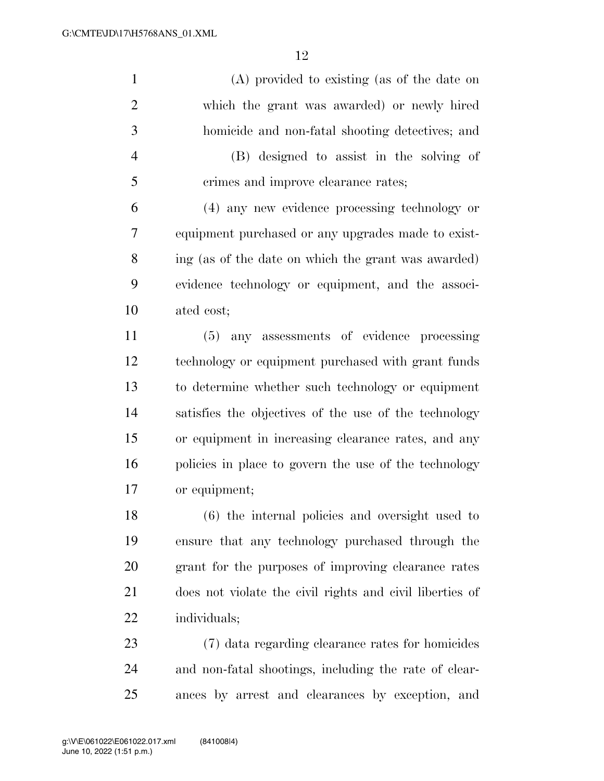(A) provided to existing (as of the date on which the grant was awarded) or newly hired homicide and non-fatal shooting detectives; and (B) designed to assist in the solving of crimes and improve clearance rates; (4) any new evidence processing technology or equipment purchased or any upgrades made to exist- ing (as of the date on which the grant was awarded) evidence technology or equipment, and the associ- ated cost; (5) any assessments of evidence processing technology or equipment purchased with grant funds to determine whether such technology or equipment satisfies the objectives of the use of the technology or equipment in increasing clearance rates, and any policies in place to govern the use of the technology or equipment; (6) the internal policies and oversight used to ensure that any technology purchased through the grant for the purposes of improving clearance rates does not violate the civil rights and civil liberties of individuals; (7) data regarding clearance rates for homicides and non-fatal shootings, including the rate of clear-ances by arrest and clearances by exception, and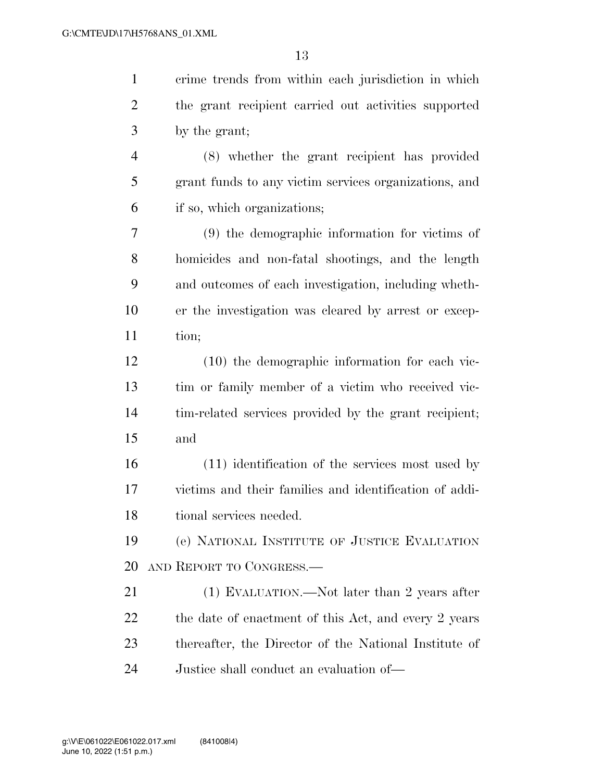| $\mathbf{1}$   | crime trends from within each jurisdiction in which    |
|----------------|--------------------------------------------------------|
| $\overline{c}$ | the grant recipient carried out activities supported   |
| 3              | by the grant;                                          |
| 4              | (8) whether the grant recipient has provided           |
| 5              | grant funds to any victim services organizations, and  |
| 6              | if so, which organizations;                            |
| 7              | (9) the demographic information for victims of         |
| 8              | homicides and non-fatal shootings, and the length      |
| 9              | and outcomes of each investigation, including wheth-   |
| 10             | er the investigation was cleared by arrest or excep-   |
| 11             | tion;                                                  |
| 12             | $(10)$ the demographic information for each vic-       |
| 13             | tim or family member of a victim who received vic-     |
| 14             | tim-related services provided by the grant recipient;  |
| 15             | and                                                    |
| 16             | (11) identification of the services most used by       |
| 17             | victims and their families and identification of addi- |
| 18             | tional services needed.                                |
| 19             | (e) NATIONAL INSTITUTE OF JUSTICE EVALUATION           |
| 20             | AND REPORT TO CONGRESS.                                |
| 21             | (1) EVALUATION.—Not later than 2 years after           |
| 22             | the date of enactment of this Act, and every 2 years   |
| 23             | thereafter, the Director of the National Institute of  |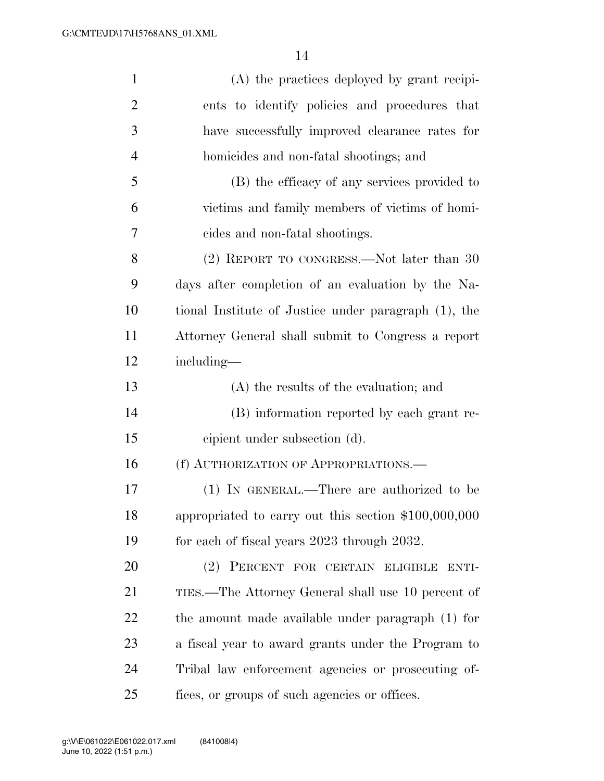| $\mathbf{1}$   | (A) the practices deployed by grant recipi-          |
|----------------|------------------------------------------------------|
| $\overline{2}$ | ents to identify policies and procedures that        |
| 3              | have successfully improved clearance rates for       |
| $\overline{4}$ | homicides and non-fatal shootings; and               |
| 5              | (B) the efficacy of any services provided to         |
| 6              | victims and family members of victims of homi-       |
| 7              | cides and non-fatal shootings.                       |
| 8              | (2) REPORT TO CONGRESS.—Not later than 30            |
| 9              | days after completion of an evaluation by the Na-    |
| 10             | tional Institute of Justice under paragraph (1), the |
| 11             | Attorney General shall submit to Congress a report   |
| 12             | including—                                           |
| 13             | (A) the results of the evaluation; and               |
| 14             | (B) information reported by each grant re-           |
| 15             | cipient under subsection (d).                        |
| 16             | (f) AUTHORIZATION OF APPROPRIATIONS.-                |
| 17             | (1) IN GENERAL.—There are authorized to be           |
| 18             | appropriated to carry out this section \$100,000,000 |
| 19             | for each of fiscal years 2023 through 2032.          |
| 20             | (2) PERCENT FOR CERTAIN ELIGIBLE<br>ENTI-            |
| 21             | TIES.—The Attorney General shall use 10 percent of   |
| 22             | the amount made available under paragraph (1) for    |
| 23             | a fiscal year to award grants under the Program to   |
| 24             | Tribal law enforcement agencies or prosecuting of-   |
| 25             | fices, or groups of such agencies or offices.        |